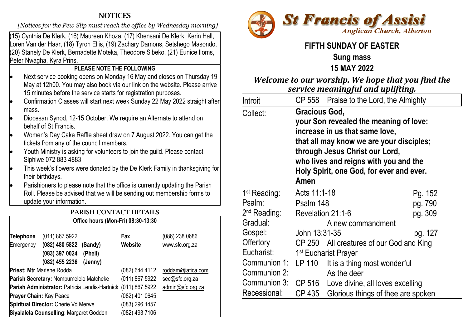# **NOTICES**

 *[Notices for the Pew Slip must reach the office by Wednesday morning]* 

(15) Cynthia De Klerk, (16) Maureen Khoza, (17) Khensani De Klerk, Kerin Hall, Loren Van der Haar, (18) Tyron Ellis, (19) Zachary Damons, Setshego Masondo, (20) Stanely De Klerk, Bernadette Moteka, Theodore Sibeko, (21) Eunice Iloms, Peter Nwagha, Kyra Prins.

# **PLEASE NOTE THE FOLLOWING**

- Next service booking opens on Monday 16 May and closes on Thursday 19 May at 12h00. You may also book via our link on the website. Please arrive 15 minutes before the service starts for registration purposes.
- Confirmation Classes will start next week Sunday 22 May 2022 straight after mass.
- Diocesan Synod, 12-15 October. We require an Alternate to attend on behalf of St Francis.
- Women's Day Cake Raffle sheet draw on 7 August 2022. You can get the tickets from any of the council members.
- Youth Ministry is asking for volunteers to join the guild. Please contact Siphiwe 072 883 4883
- This week's flowers were donated by the De Klerk Family in thanksgiving for their birthdays.

• Parishioners to please note that the office is currently updating the Parish Roll. Please be advised that we will be sending out membership forms to update your information.

#### PARISH CONTACT DETAILS

**Office hours (Mon-Fri) 08:30-13:30**

| Telephone<br>Emergency                         | (011) 867 5922<br>(082) 480 5822 (Sandy)<br>(083) 397 0024<br>(082) 455 2236 | (Pheli)<br>(Jenny) | Fax<br>Website | (086) 238 0686<br>www.sfc.org.za |
|------------------------------------------------|------------------------------------------------------------------------------|--------------------|----------------|----------------------------------|
| <b>Priest: Mtr Marlene Rodda</b>               |                                                                              |                    | (082) 644 4112 | roddam@iafica.com                |
| Parish Secretary: Nompumelelo Matcheke         |                                                                              |                    | (011) 867 5922 | sec@sfc.org.za                   |
| Parish Administrator: Patricia Lendis-Hartnick |                                                                              |                    | (011) 867 5922 | admin@sfc.org.za                 |
| <b>Prayer Chain: Kay Peace</b>                 |                                                                              |                    | (082) 401 0645 |                                  |
| Spiritual Director: Cherie Vd Merwe            |                                                                              |                    | (083) 296 1457 |                                  |
| Siyalalela Counselling: Margaret Godden        |                                                                              |                    | (082) 493 7106 |                                  |



# **FIFTH SUNDAY OF EASTER**

#### **Sung mass 15 MAY 2022**

# *Welcome to our worship. We hope that you find the service meaningful and uplifting.*

| Introit                  |                                                                                                                                                                                                                                                                      | CP 558 Praise to the Lord, the Almighty |         |  |  |
|--------------------------|----------------------------------------------------------------------------------------------------------------------------------------------------------------------------------------------------------------------------------------------------------------------|-----------------------------------------|---------|--|--|
| Collect:                 | Gracious God,<br>your Son revealed the meaning of love:<br>increase in us that same love,<br>that all may know we are your disciples;<br>through Jesus Christ our Lord,<br>who lives and reigns with you and the<br>Holy Spirit, one God, for ever and ever.<br>Amen |                                         |         |  |  |
| 1 <sup>st</sup> Reading: | Acts 11:1-18                                                                                                                                                                                                                                                         |                                         | Pg. 152 |  |  |
| Psalm:                   | Psalm 148                                                                                                                                                                                                                                                            |                                         | pg. 790 |  |  |
| 2 <sup>nd</sup> Reading: | Revelation 21:1-6                                                                                                                                                                                                                                                    |                                         | pg. 309 |  |  |
| Gradual:                 | A new commandment                                                                                                                                                                                                                                                    |                                         |         |  |  |
| Gospel:                  | John 13:31-35                                                                                                                                                                                                                                                        |                                         | pg. 127 |  |  |
| Offertory                | CP 250 All creatures of our God and King                                                                                                                                                                                                                             |                                         |         |  |  |
| Eucharist:               |                                                                                                                                                                                                                                                                      | 1 <sup>st</sup> Eucharist Prayer        |         |  |  |
| Communion 1:             | LP 110                                                                                                                                                                                                                                                               | It is a thing most wonderful            |         |  |  |
| Communion 2:             |                                                                                                                                                                                                                                                                      | As the deer                             |         |  |  |
| Communion 3:             | CP 516                                                                                                                                                                                                                                                               | Love divine, all loves excelling        |         |  |  |
| Recessional:             | CP 435                                                                                                                                                                                                                                                               | Glorious things of thee are spoken      |         |  |  |